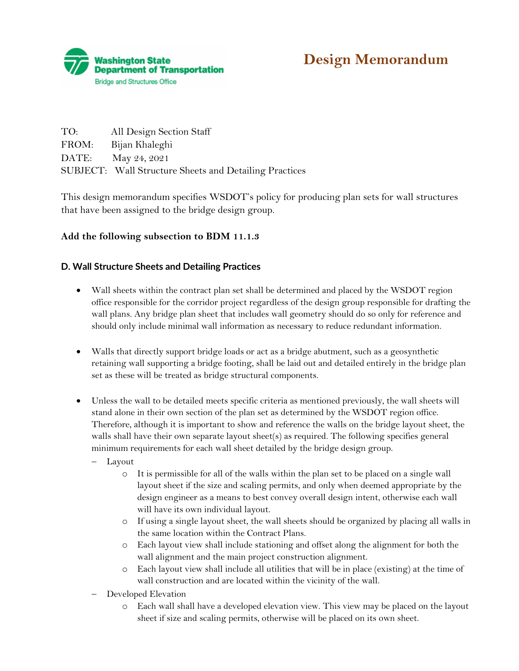



| TO:   | All Design Section Staff                               |
|-------|--------------------------------------------------------|
| FROM: | Bijan Khaleghi                                         |
|       | DATE: May 24, 2021                                     |
|       | SUBJECT: Wall Structure Sheets and Detailing Practices |

This design memorandum specifies WSDOT's policy for producing plan sets for wall structures that have been assigned to the bridge design group.

## **Add the following subsection to BDM 11.1.3**

## **D. Wall Structure Sheets and Detailing Practices**

- Wall sheets within the contract plan set shall be determined and placed by the WSDOT region office responsible for the corridor project regardless of the design group responsible for drafting the wall plans. Any bridge plan sheet that includes wall geometry should do so only for reference and should only include minimal wall information as necessary to reduce redundant information.
- Walls that directly support bridge loads or act as a bridge abutment, such as a geosynthetic retaining wall supporting a bridge footing, shall be laid out and detailed entirely in the bridge plan set as these will be treated as bridge structural components.
- Unless the wall to be detailed meets specific criteria as mentioned previously, the wall sheets will stand alone in their own section of the plan set as determined by the WSDOT region office. Therefore, although it is important to show and reference the walls on the bridge layout sheet, the walls shall have their own separate layout sheet(s) as required. The following specifies general minimum requirements for each wall sheet detailed by the bridge design group.
	- − Layout
		- o It is permissible for all of the walls within the plan set to be placed on a single wall layout sheet if the size and scaling permits, and only when deemed appropriate by the design engineer as a means to best convey overall design intent, otherwise each wall will have its own individual layout.
		- o If using a single layout sheet, the wall sheets should be organized by placing all walls in the same location within the Contract Plans.
		- o Each layout view shall include stationing and offset along the alignment for both the wall alignment and the main project construction alignment.
		- o Each layout view shall include all utilities that will be in place (existing) at the time of wall construction and are located within the vicinity of the wall.
	- − Developed Elevation
		- o Each wall shall have a developed elevation view. This view may be placed on the layout sheet if size and scaling permits, otherwise will be placed on its own sheet.